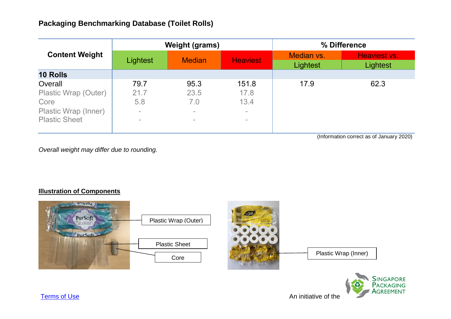| <b>Content Weight</b> |          | <b>Weight (grams)</b> |                 | % Difference           |                          |
|-----------------------|----------|-----------------------|-----------------|------------------------|--------------------------|
|                       | Lightest | <b>Median</b>         | <b>Heaviest</b> | Median vs.<br>Lightest | Heaviest vs.<br>Lightest |
| <b>10 Rolls</b>       |          |                       |                 |                        |                          |
| Overall               | 79.7     | 95.3                  | 151.8           | 17.9                   | 62.3                     |
| Plastic Wrap (Outer)  | 21.7     | 23.5                  | 17.8            |                        |                          |
| Core                  | 5.8      | 7.0                   | 13.4            |                        |                          |
| Plastic Wrap (Inner)  | $\sim$   | $\equiv$              | $\sim$          |                        |                          |
| <b>Plastic Sheet</b>  | $\equiv$ |                       | $\sim$          |                        |                          |
|                       |          |                       |                 |                        |                          |

(Information correct as of January 2020)

*Overall weight may differ due to rounding.*

## **Illustration of Components**



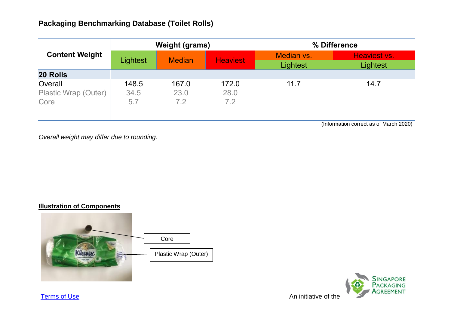| <b>Content Weight</b>                   | <b>Weight (grams)</b> |                      |                      | % Difference           |                                 |
|-----------------------------------------|-----------------------|----------------------|----------------------|------------------------|---------------------------------|
|                                         | Lightest              | <b>Median</b>        | <b>Heaviest</b>      | Median vs.<br>Lightest | Heaviest vs.<br><b>Lightest</b> |
| <b>20 Rolls</b>                         |                       |                      |                      |                        |                                 |
| Overall<br>Plastic Wrap (Outer)<br>Core | 148.5<br>34.5<br>5.7  | 167.0<br>23.0<br>7.2 | 172.0<br>28.0<br>7.2 | 11.7                   | 14.7                            |

(Information correct as of March 2020)

*Overall weight may differ due to rounding.*

## **Illustration of Components**





**[Terms of Use](http://www.nea.gov.sg/terms-of-use)** An initiative of the Annual Structure of the Annual Structure Annual Structure of the Annual Structure of the Annual Structure of the Annual Structure of the Annual Structure of the Annual Structure of the A